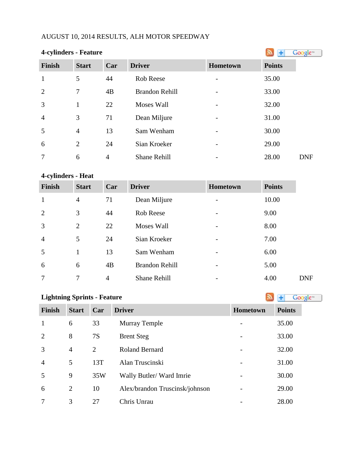# AUGUST 10, 2014 RESULTS, ALH MOTOR SPEEDWAY

| <b>4-cylinders - Feature</b> |                |                |                       |          |               | Google <sup>®</sup> |
|------------------------------|----------------|----------------|-----------------------|----------|---------------|---------------------|
| <b>Finish</b>                | <b>Start</b>   | Car            | <b>Driver</b>         | Hometown | <b>Points</b> |                     |
| $\mathbf{1}$                 | 5              | 44             | <b>Rob Reese</b>      |          | 35.00         |                     |
| $\overline{2}$               | $\overline{7}$ | 4B             | <b>Brandon Rehill</b> |          | 33.00         |                     |
| 3                            | $\mathbf{1}$   | 22             | Moses Wall            |          | 32.00         |                     |
| $\overline{4}$               | 3              | 71             | Dean Miljure          |          | 31.00         |                     |
| 5                            | $\overline{4}$ | 13             | Sam Wenham            |          | 30.00         |                     |
| 6                            | 2              | 24             | Sian Kroeker          |          | 29.00         |                     |
| $\overline{7}$               | 6              | $\overline{4}$ | <b>Shane Rehill</b>   |          | 28.00         | <b>DNF</b>          |

# **4-cylinders - Heat**

| <b>Finish</b>  | <b>Start</b>   | Car | <b>Driver</b>         | <b>Hometown</b>              | <b>Points</b> |            |
|----------------|----------------|-----|-----------------------|------------------------------|---------------|------------|
| $\mathbf{1}$   | $\overline{4}$ | 71  | Dean Miljure          | $\overline{\phantom{a}}$     | 10.00         |            |
| 2              | 3              | 44  | Rob Reese             |                              | 9.00          |            |
| 3              | $\overline{2}$ | 22  | Moses Wall            |                              | 8.00          |            |
| $\overline{4}$ | 5              | 24  | Sian Kroeker          | $\overline{\phantom{0}}$     | 7.00          |            |
| 5              | 1              | 13  | Sam Wenham            | $\qquad \qquad \blacksquare$ | 6.00          |            |
| 6              | 6              | 4B  | <b>Brandon Rehill</b> |                              | 5.00          |            |
| 7              | 7              | 4   | <b>Shane Rehill</b>   | -                            | 4.00          | <b>DNF</b> |

| <b>Lightning Sprints - Feature</b> | Google <sup>®</sup> |           |                                |                 |               |
|------------------------------------|---------------------|-----------|--------------------------------|-----------------|---------------|
| <b>Finish</b>                      | <b>Start</b>        | Car       | <b>Driver</b>                  | <b>Hometown</b> | <b>Points</b> |
| $\mathbf{1}$                       | 6                   | 33        | <b>Murray Temple</b>           |                 | 35.00         |
| $\overline{2}$                     | 8                   | <b>7S</b> | <b>Brent Steg</b>              |                 | 33.00         |
| 3                                  | $\overline{4}$      | 2         | <b>Roland Bernard</b>          |                 | 32.00         |
| $\overline{4}$                     | 5                   | 13T       | Alan Truscinski                |                 | 31.00         |
| 5                                  | 9                   | 35W       | Wally Butler/Ward Imrie        |                 | 30.00         |
| 6                                  | 2                   | 10        | Alex/brandon Truscinsk/johnson |                 | 29.00         |
| 7                                  | 3                   | 27        | Chris Unrau                    |                 | 28.00         |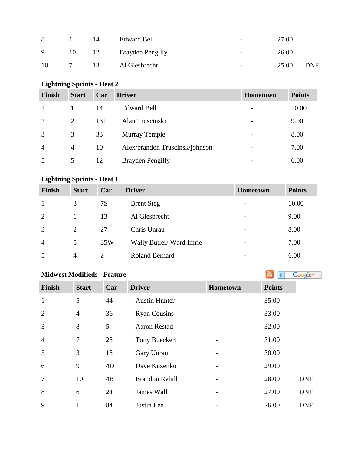| 8           |    | 14 | <b>Edward Bell</b> |                          | 27.00 |            |
|-------------|----|----|--------------------|--------------------------|-------|------------|
| $\mathbf Q$ | 10 | 12 | Brayden Pengilly   | $\overline{\phantom{0}}$ | 26.00 |            |
| 10          |    | 13 | Al Giesbrecht      | $\overline{\phantom{a}}$ | 25.00 | <b>DNF</b> |

# **Lightning Sprints - Heat 2**

| <b>Finish</b>  | <b>Start</b> | Car | <b>Driver</b>                  | Hometown                 | <b>Points</b> |
|----------------|--------------|-----|--------------------------------|--------------------------|---------------|
|                |              | 14  | <b>Edward Bell</b>             | $\overline{\phantom{0}}$ | 10.00         |
| $\overline{2}$ | 2            | 13T | Alan Truscinski                |                          | 9.00          |
| 3              | 3            | 33  | <b>Murray Temple</b>           | $\overline{\phantom{a}}$ | 8.00          |
| $\overline{4}$ | 4            | 10  | Alex/brandon Truscinsk/johnson |                          | 7.00          |
|                | 5            | 12  | <b>Brayden Pengilly</b>        |                          | 6.00          |

# **Lightning Sprints - Heat 1**

| <b>Finish</b>  | <b>Start</b> | Car                         | <b>Driver</b>           | <b>Hometown</b>          | <b>Points</b> |
|----------------|--------------|-----------------------------|-------------------------|--------------------------|---------------|
|                | 3            | 7S                          | <b>Brent Steg</b>       | $\overline{\phantom{a}}$ | 10.00         |
| 2              |              | 13                          | Al Giesbrecht           | $\overline{\phantom{a}}$ | 9.00          |
| 3              | 2            | 27                          | Chris Unrau             | $\overline{\phantom{a}}$ | 8.00          |
| $\overline{4}$ | 5            | 35W                         | Wally Butler/Ward Imrie | $\overline{\phantom{a}}$ | 7.00          |
| 5              | 4            | $\mathcal{D}_{\mathcal{L}}$ | <b>Roland Bernard</b>   | $\overline{\phantom{a}}$ | 6.00          |

# **Midwest Modifieds - Feature**

| <b>Finish</b>  | <b>Start</b>   | Car | <b>Driver</b>         | Hometown | <b>Points</b> |
|----------------|----------------|-----|-----------------------|----------|---------------|
| $\mathbf{1}$   | 5              | 44  | <b>Austin Hunter</b>  |          | 35.00         |
| $\overline{2}$ | $\overline{4}$ | 36  | <b>Ryan Cousins</b>   |          | 33.00         |
| 3              | 8              | 5   | <b>Aaron Restad</b>   |          | 32.00         |
| $\overline{4}$ | 7              | 28  | <b>Tony Bueckert</b>  |          | 31.00         |
| 5              | 3              | 18  | Gary Unrau            |          | 30.00         |
| 6              | 9              | 4D  | Dave Kuzenko          |          | 29.00         |
| $\overline{7}$ | 10             | 4B  | <b>Brandon Rehill</b> |          | 28.00         |
| 8              | 6              | 24  | James Wall            |          | 27.00         |
| 9              | 1              | 84  | Justin Lee            |          | 26.00         |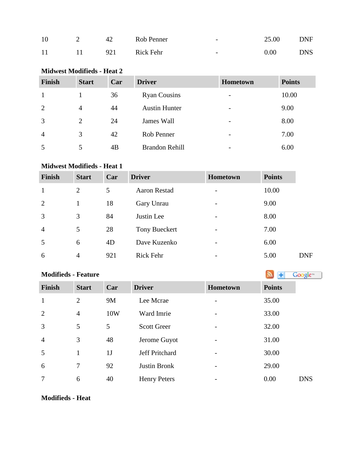| 10 |           | 42  | Rob Penner | $\overline{\phantom{0}}$ | 25.00 | <b>DNF</b> |
|----|-----------|-----|------------|--------------------------|-------|------------|
| 11 | $\sim$ 11 | 921 | Rick Fehr  | $\overline{\phantom{0}}$ | 0.00  | <b>DNS</b> |

### **Midwest Modifieds - Heat 2**

| <b>Finish</b>  | <b>Start</b>   | Car | <b>Driver</b>         | Hometown                 | <b>Points</b> |
|----------------|----------------|-----|-----------------------|--------------------------|---------------|
|                |                | 36  | <b>Ryan Cousins</b>   | $\overline{\phantom{0}}$ | 10.00         |
| 2              | $\overline{4}$ | 44  | <b>Austin Hunter</b>  | $\overline{\phantom{0}}$ | 9.00          |
| 3              | 2              | 24  | James Wall            | -                        | 8.00          |
| $\overline{4}$ | 3              | 42  | Rob Penner            | -                        | 7.00          |
| 5              | 5              | 4B  | <b>Brandon Rehill</b> | $\overline{\phantom{0}}$ | 6.00          |

#### **Midwest Modifieds - Heat 1**

| <b>Finish</b>  | <b>Start</b>   | Car | <b>Driver</b>        | <b>Hometown</b>          | <b>Points</b> |            |
|----------------|----------------|-----|----------------------|--------------------------|---------------|------------|
| $\mathbf{1}$   | 2              | 5   | <b>Aaron Restad</b>  | $\overline{\phantom{a}}$ | 10.00         |            |
| 2              | 1              | 18  | Gary Unrau           | $\overline{\phantom{0}}$ | 9.00          |            |
| 3              | 3              | 84  | Justin Lee           | -                        | 8.00          |            |
| $\overline{4}$ | 5              | 28  | <b>Tony Bueckert</b> | $\overline{\phantom{0}}$ | 7.00          |            |
| 5              | 6              | 4D  | Dave Kuzenko         |                          | 6.00          |            |
| 6              | $\overline{4}$ | 921 | <b>Rick Fehr</b>     |                          | 5.00          | <b>DNF</b> |

# **Modifieds- Feature Modifieds - Feature Modifieds** - **Feature Modifieds** - **Feature Model 2008**

| <b>Finish</b>  | <b>Start</b>   | Car            | <b>Driver</b>       | Hometown | <b>Points</b> |
|----------------|----------------|----------------|---------------------|----------|---------------|
| $\mathbf{1}$   | $\overline{2}$ | 9M             | Lee Mcrae           |          | 35.00         |
| 2              | $\overline{4}$ | 10W            | Ward Imrie          |          | 33.00         |
| 3              | 5              | 5              | <b>Scott Greer</b>  |          | 32.00         |
| $\overline{4}$ | 3              | 48             | Jerome Guyot        |          | 31.00         |
| 5              | 1              | 1 <sub>J</sub> | Jeff Pritchard      |          | 30.00         |
| 6              | 7              | 92             | Justin Bronk        |          | 29.00         |
| 7              | 6              | 40             | <b>Henry Peters</b> |          | 0.00          |

#### **Modifieds - Heat**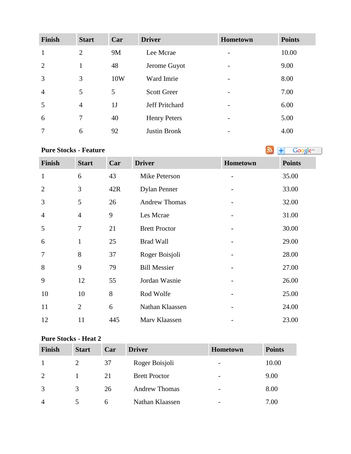| <b>Finish</b>  | <b>Start</b>   | Car | <b>Driver</b>       | Hometown                 | <b>Points</b> |
|----------------|----------------|-----|---------------------|--------------------------|---------------|
| $\mathbf{1}$   | $\overline{2}$ | 9M  | Lee Mcrae           | $\overline{\phantom{0}}$ | 10.00         |
| 2              |                | 48  | Jerome Guyot        | $\overline{\phantom{0}}$ | 9.00          |
| 3              | 3              | 10W | Ward Imrie          |                          | 8.00          |
| $\overline{4}$ | 5              | 5   | <b>Scott Greer</b>  | $\overline{\phantom{0}}$ | 7.00          |
| 5              | $\overline{4}$ | 1J  | Jeff Pritchard      |                          | 6.00          |
| 6              | 7              | 40  | <b>Henry Peters</b> |                          | 5.00          |
| 7              | 6              | 92  | <b>Justin Bronk</b> |                          | 4.00          |

**PureStocks - Feature Algebra 2019 Constant 1 Constant 1 Constant 1 Constant 1 Constant 1 Constant 1 Constant 1 Constant 1 Constant 1 Constant 1 Constant 1 Constant 1 Constant 1 Constant 1**

| <b>Finish</b>  | <b>Start</b>   | Car | <b>Driver</b>        | Hometown | <b>Points</b> |
|----------------|----------------|-----|----------------------|----------|---------------|
| $\mathbf{1}$   | 6              | 43  | Mike Peterson        |          | 35.00         |
| $\overline{2}$ | 3              | 42R | <b>Dylan Penner</b>  |          | 33.00         |
| 3              | 5              | 26  | <b>Andrew Thomas</b> |          | 32.00         |
| $\overline{4}$ | $\overline{4}$ | 9   | Les Mcrae            |          | 31.00         |
| 5              | $\tau$         | 21  | <b>Brett Proctor</b> |          | 30.00         |
| 6              | $\mathbf{1}$   | 25  | <b>Brad Wall</b>     |          | 29.00         |
| 7              | 8              | 37  | Roger Boisjoli       |          | 28.00         |
| 8              | 9              | 79  | <b>Bill Messier</b>  |          | 27.00         |
| 9              | 12             | 55  | Jordan Wasnie        |          | 26.00         |
| 10             | 10             | 8   | Rod Wolfe            |          | 25.00         |
| 11             | $\overline{2}$ | 6   | Nathan Klaassen      |          | 24.00         |
| 12             | 11             | 445 | Marv Klaassen        |          | 23.00         |

#### **Pure Stocks - Heat 2**

| <b>Finish</b>  | <b>Start</b> | Car | <b>Driver</b>        | <b>Hometown</b>          | <b>Points</b> |
|----------------|--------------|-----|----------------------|--------------------------|---------------|
|                |              | 37  | Roger Boisjoli       | $\overline{\phantom{a}}$ | 10.00         |
| 2              |              | 21  | <b>Brett Proctor</b> | $\overline{\phantom{0}}$ | 9.00          |
|                | 3            | 26  | <b>Andrew Thomas</b> | $\overline{\phantom{a}}$ | 8.00          |
| $\overline{4}$ |              | 6   | Nathan Klaassen      |                          | 7.00          |